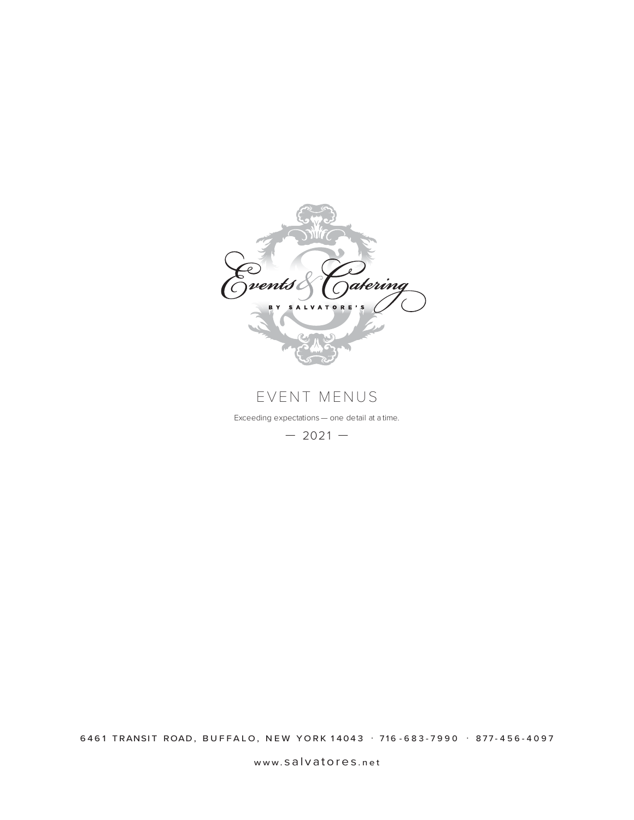

EVENT MENUS

Exceeding expectations — one detail at a time.

 $-2021-$ 

6461 TRANSIT ROAD, BUFFALO, NEW YORK 14043 · 716 - 683 - 7990 · 877 - 456 - 4097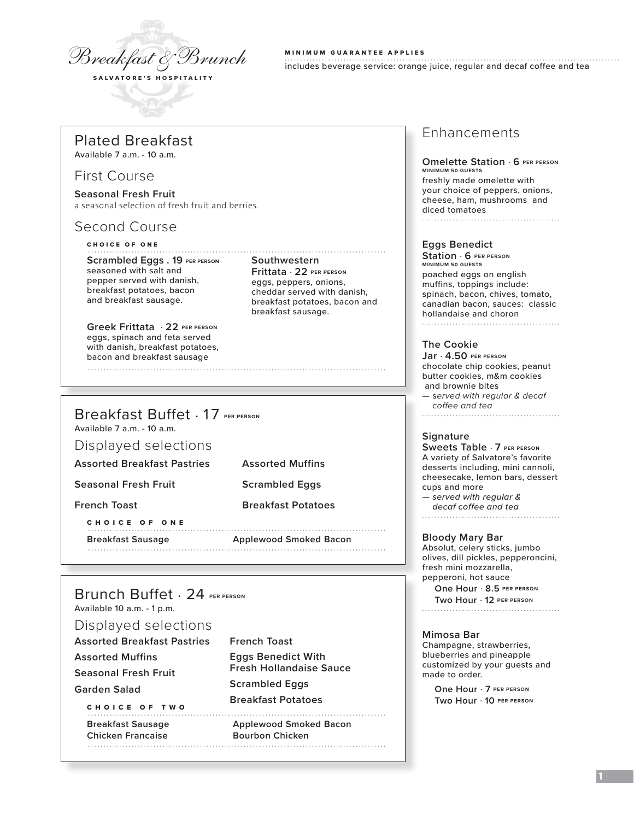

MINIMUM GUARANTEE APPLIES includes beverage service: orange juice, regular and decaf coffee and tea

### Plated Breakfast

Available 7 a.m. - 10 a.m.

### First Course

**Seasonal Fresh Fruit** a seasonal selection of fresh fruit and berries.

# Second Course

### CHOICE OF ONE

Available 7 a.m. - 10 a.m.

Displayed selections

CHOICE OF ONE

Scrambled Eggs . 19 PER PERSON Southwestern seasoned with salt and pepper served with danish, breakfast potatoes, bacon and breakfast sausage.

#### **Greek Frittata** . **22 PER PERSON** eggs, spinach and feta served with danish, breakfast potatoes, bacon and breakfast sausage

Breakfast Buffet . 17 **PER PERSON**

**Assorted Breakfast Pastries Assorted Muffins**

**Seasonal Fresh Fruit Scrambled Eggs** 

**French Toast Breakfast Potatoes**

**Breakfast Sausage Applewood Smoked Bacon**

### **Frittata** . **22 PER PERSON** eggs, peppers, onions, cheddar served with danish, breakfast potatoes, bacon and breakfast sausage.

### Enhancements

**Omelette Station** . **6 PER PERSON MINIMUM 50 GUESTS** freshly made omelette with your choice of peppers, onions, cheese, ham, mushrooms and diced tomatoes

### **Eggs Benedict**

**Station** . **6 PER PERSON MINIMUM 50 GUESTS** poached eggs on english muffins, toppings include: spinach, bacon, chives, tomato, canadian bacon, sauces: classic hollandaise and choron 

### **The Cookie**

**Jar** . **4.50 PER PERSON**  chocolate chip cookies, peanut butter cookies, m&m cookies and brownie bites — s*erved with regular & decaf coffee and tea*

### **Signature**

**Sweets Table** . **7 PER PERSON** A variety of Salvatore's favorite desserts including, mini cannoli, cheesecake, lemon bars, dessert cups and more *— served with regular & decaf coffee and tea*

#### **Bloody Mary Bar**

Absolut, celery sticks, jumbo olives, dill pickles, pepperoncini, fresh mini mozzarella, pepperoni, hot sauce

**One Hour** . **8.5 PER PERSON Two Hour** . **12 PER PERSON**

#### **Mimosa Bar**

Champagne, strawberries, blueberries and pineapple customized by your guests and made to order.

**One Hour** . **7 PER PERSON Two Hour** . **10 PER PERSON**

# Brunch Buffet . 24 **PER PERSON**

Available 10 a.m. - 1 p.m.

### Displayed selections

| <b>Assorted Breakfast Pastries</b> | <b>French Toast</b>            |
|------------------------------------|--------------------------------|
| <b>Assorted Muffins</b>            | <b>Eggs Benedict With</b>      |
| <b>Seasonal Fresh Fruit</b>        | <b>Fresh Hollandaise Sauce</b> |
| Garden Salad                       | <b>Scrambled Eggs</b>          |
| CHOICE OF TWO                      | <b>Breakfast Potatoes</b>      |
| <b>Breakfast Sausage</b>           | <b>Applewood Smoked Bacon</b>  |
| <b>Chicken Francaise</b>           | <b>Bourbon Chicken</b>         |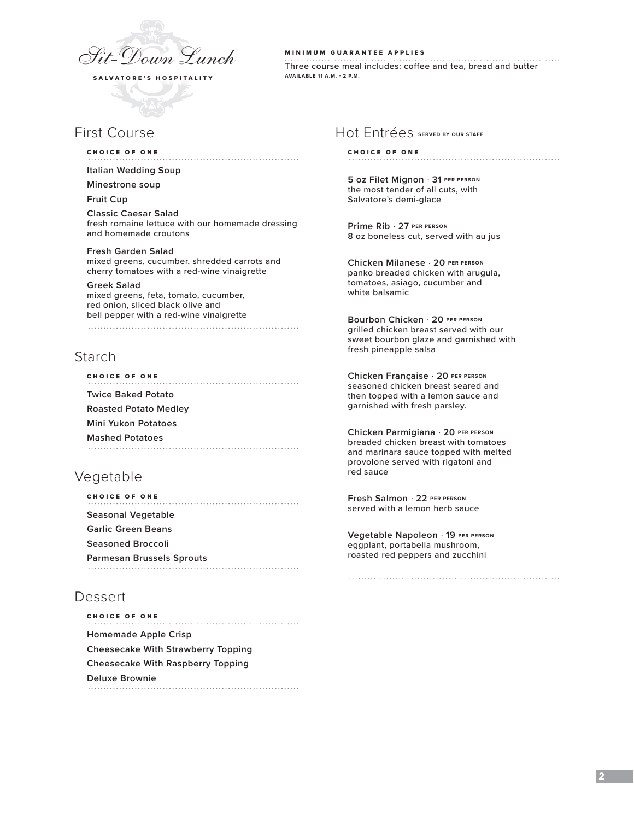

# First Course

#### CHOICE OF ONE

**Italian Wedding Soup** 

#### **Minestrone soup**

**Fruit Cup**

**Classic Caesar Salad** fresh romaine lettuce with our homemade dressing and homemade croutons

#### **Fresh Garden Salad**

mixed greens, cucumber, shredded carrots and cherry tomatoes with a red-wine vinaigrette

**Greek Salad**  mixed greens, feta, tomato, cucumber, red onion, sliced black olive and bell pepper with a red-wine vinaigrette

### Starch

CHOICE OF ONE **Twice Baked Potato Roasted Potato Medley Mini Yukon Potatoes Mashed Potatoes** 

# Vegetable

| <b>CHOICE OF ONE</b>             |  |  |
|----------------------------------|--|--|
| Seasonal Vegetable               |  |  |
| <b>Garlic Green Beans</b>        |  |  |
| <b>Seasoned Broccoli</b>         |  |  |
| <b>Parmesan Brussels Sprouts</b> |  |  |

# Dessert

| <b>CHOICE OF ONE</b>                      |
|-------------------------------------------|
| <b>Homemade Apple Crisp</b>               |
| <b>Cheesecake With Strawberry Topping</b> |
| <b>Cheesecake With Raspberry Topping</b>  |
| Deluxe Brownie                            |
|                                           |

MINIMUM GUARANTEE APPLIES Three course meal includes: coffee and tea, bread and butter **AVAILABLE 11 A.M. - 2 P.M.**

### Hot Entrées **SERVED BY OUR STAFF**

#### CHOICE OF ONE

**5 oz Filet Mignon** . **31 PER PERSON** the most tender of all cuts, with Salvatore's demi-glace

**Prime Rib** . **27 PER PERSON** 8 oz boneless cut, served with au jus

**Chicken Milanese** . **20 PER PERSON** panko breaded chicken with arugula, tomatoes, asiago, cucumber and white balsamic

**Bourbon Chicken** . **20 PER PERSON** grilled chicken breast served with our sweet bourbon glaze and garnished with fresh pineapple salsa

**Chicken Française** . **20 PER PERSON** seasoned chicken breast seared and then topped with a lemon sauce and garnished with fresh parsley.

**Chicken Parmigiana** . **20 PER PERSON** breaded chicken breast with tomatoes and marinara sauce topped with melted provolone served with rigatoni and red sauce

**Fresh Salmon** . **22 PER PERSON** served with a lemon herb sauce

**Vegetable Napoleon** . **19 PER PERSON** eggplant, portabella mushroom, roasted red peppers and zucchini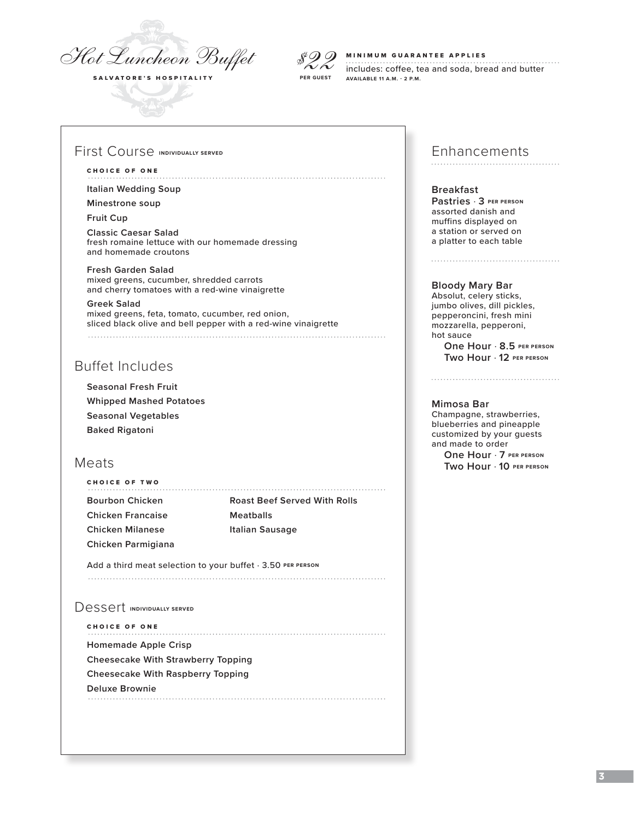

# *\$22*

#### MINIMUM GUARANTEE APPLIES

includes: coffee, tea and soda, bread and butter **AVAILABLE 11 A.M. - 2 P.M. PER GUEST**

### First Course **INDIVIDUALLY SERVED**

#### CHOICE OF ONE

**Italian Wedding Soup** 

**Minestrone soup**

**Fruit Cup**

**Classic Caesar Salad** fresh romaine lettuce with our homemade dressing and homemade croutons

**Fresh Garden Salad**  mixed greens, cucumber, shredded carrots and cherry tomatoes with a red-wine vinaigrette

**Greek Salad**  mixed greens, feta, tomato, cucumber, red onion, sliced black olive and bell pepper with a red-wine vinaigrette 

# Buffet Includes

**Seasonal Fresh Fruit Whipped Mashed Potatoes Seasonal Vegetables Baked Rigatoni**

### Meats

| CHOICE OF TWO     |                                     |
|-------------------|-------------------------------------|
| Bourbon Chicken   | <b>Roast Beef Served With Rolls</b> |
| Chicken Francaise | Meatballs                           |
| Chicken Milanese  | Italian Sausage                     |
|                   |                                     |

Add a third meat selection to your buffet  $\cdot$  3.50 PER PERSON 

### Dessert **INDIVIDUALLY SERVED**

**Chicken Parmigiana**

CHOICE OF ONE **Homemade Apple Crisp Cheesecake With Strawberry Topping Cheesecake With Raspberry Topping Deluxe Brownie** Enhancements

#### **Breakfast Pastries** . **3 PER PERSON** assorted danish and muffins displayed on a station or served on a platter to each table

#### **Bloody Mary Bar**

Absolut, celery sticks, jumbo olives, dill pickles, pepperoncini, fresh mini mozzarella, pepperoni, hot sauce **One Hour** . **8.5 PER PERSON**

**Two Hour** . **12 PER PERSON**

#### **Mimosa Bar**

Champagne, strawberries, blueberries and pineapple customized by your guests and made to order **One Hour** . **7 PER PERSON Two Hour** . **10 PER PERSON**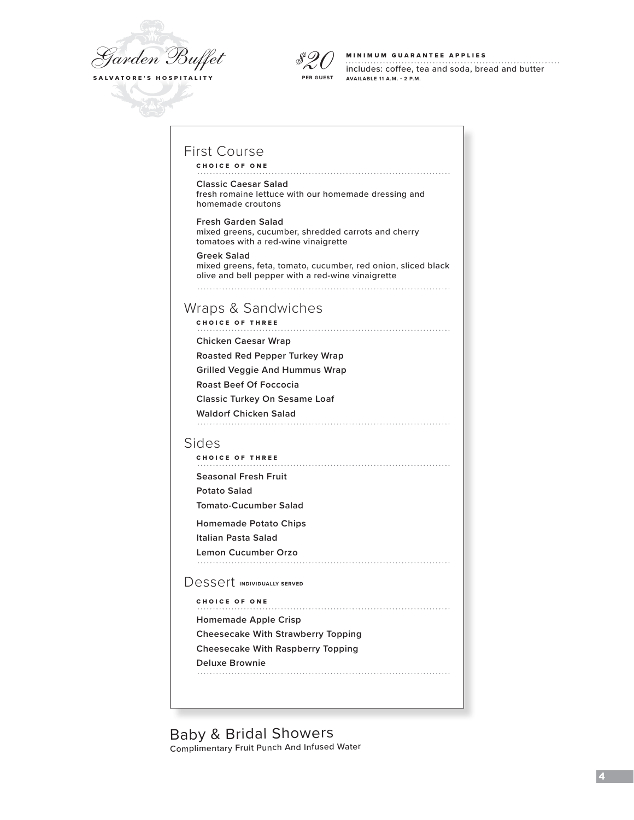



#### MINIMUM GUARANTEE APPLIES

includes: coffee, tea and soda, bread and butter **AVAILABLE 11 A.M. - 2 P.M.**

# First Course

CHOICE OF ONE

#### **Classic Caesar Salad**

fresh romaine lettuce with our homemade dressing and homemade croutons

**Fresh Garden Salad**  mixed greens, cucumber, shredded carrots and cherry tomatoes with a red-wine vinaigrette

**Greek Salad**  mixed greens, feta, tomato, cucumber, red onion, sliced black olive and bell pepper with a red-wine vinaigrette 

### Wraps & Sandwiches

CHOICE OF THREE

**Chicken Caesar Wrap** 

**Roasted Red Pepper Turkey Wrap** 

**Grilled Veggie And Hummus Wrap** 

**Roast Beef Of Foccocia**

**Classic Turkey On Sesame Loaf**

**Waldorf Chicken Salad**

### Sides

CHOICE OF THREE **Seasonal Fresh Fruit Potato Salad Tomato-Cucumber Salad Homemade Potato Chips** 

**Italian Pasta Salad** 

**Lemon Cucumber Orzo** 

Dessert **INDIVIDUALLY SERVED** 

CHOICE OF ONE 

**Homemade Apple Crisp** 

**Cheesecake With Strawberry Topping Cheesecake With Raspberry Topping**

**Deluxe Brownie**

Baby & Bridal Showers

Complimentary Fruit Punch And Infused Water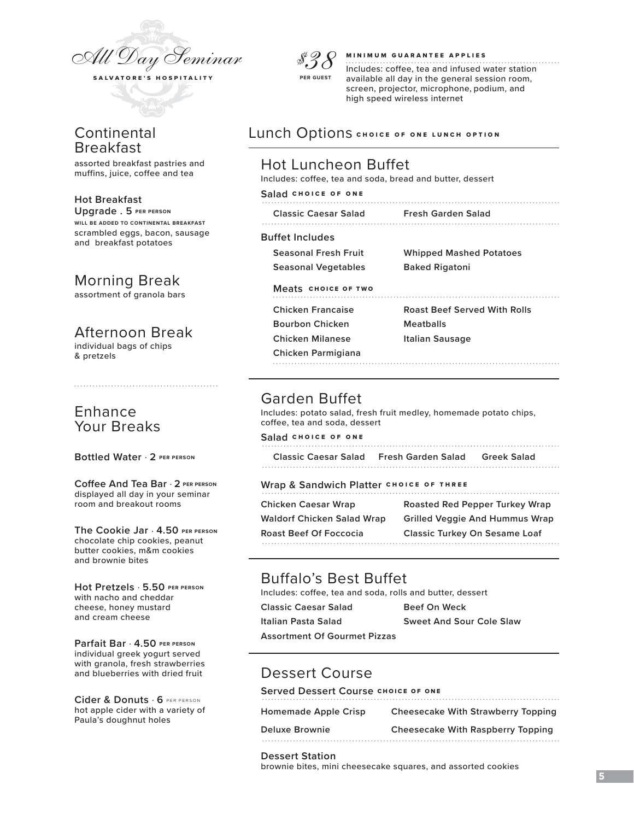

# **Continental** Breakfast

assorted breakfast pastries and muffins, juice, coffee and tea

#### **Hot Breakfast**

**Upgrade . 5 PER PERSON WILL BE ADDED TO CONTINENTAL BREAKFAST** scrambled eggs, bacon, sausage and breakfast potatoes

# Morning Break

assortment of granola bars

# Afternoon Break

individual bags of chips & pretzels

# Enhance Your Breaks

#### **Bottled Water** . **2 PER PERSON**

**Coffee And Tea Bar** . **2 PER PERSON** displayed all day in your seminar room and breakout rooms

**The Cookie Jar** . **4.50 PER PERSON** chocolate chip cookies, peanut butter cookies, m&m cookies and brownie bites

**Hot Pretzels** . **5.50 PER PERSON** with nacho and cheddar cheese, honey mustard and cream cheese

**Parfait Bar** . **4.50 PER PERSON** individual greek yogurt served with granola, fresh strawberries and blueberries with dried fruit

**Cider & Donuts** . **6** PER PERSON hot apple cider with a variety of Paula's doughnut holes



#### MINIMUM GUARANTEE APPLIES

Includes: coffee, tea and infused water station available all day in the general session room, screen, projector, microphone, podium, and high speed wireless internet

### Lunch Options CHOICE OF ONE LUNCH OPTION

### Hot Luncheon Buffet

Includes: coffee, tea and soda, bread and butter, dessert

#### **Salad** CHOICE OF ONE

| <b>Classic Caesar Salad</b> | <b>Fresh Garden Salad</b> |
|-----------------------------|---------------------------|
|                             |                           |

### **Buffet Includes**

**Seasonal Vegetables Baked Rigatoni**

**Seasonal Fresh Fruit Whipped Mashed Potatoes**

### **Meats** CHOICE OF TWO

**Bourbon Chicken Meatballs Chicken Milanese Italian Sausage**

**Chicken Francaise Roast Beef Served With Rolls**

**Chicken Parmigiana** 

# Garden Buffet

 Includes: potato salad, fresh fruit medley, homemade potato chips, coffee, tea and soda, dessert

#### **Salad** CHOICE OF ONE

**Classic Caesar Salad Fresh Garden Salad Greek Salad** 

#### **Wrap & Sandwich Platter** CHOICE OF THREE

| Chicken Caesar Wrap        | <b>Roasted Red Pepper Turkey Wrap</b> |
|----------------------------|---------------------------------------|
| Waldorf Chicken Salad Wrap | <b>Grilled Veggie And Hummus Wrap</b> |
| Roast Beef Of Foccocia     | <b>Classic Turkey On Sesame Loaf</b>  |
|                            |                                       |

# Buffalo's Best Buffet

Includes: coffee, tea and soda, rolls and butter, dessert

**Italian Pasta Salad Sweet And Sour Cole Slaw**

**Classic Caesar Salad Beef On Weck**

**Assortment Of Gourmet Pizzas**

# Dessert Course

**Served Dessert Course CHOICE OF ONE** 

| <b>Homemade Apple Crisp</b> | Cheesecake With Strawberry Topping |
|-----------------------------|------------------------------------|
| Deluxe Brownie              | Cheesecake With Raspberry Topping  |
|                             |                                    |

#### **Dessert Station**

brownie bites, mini cheesecake squares, and assorted cookies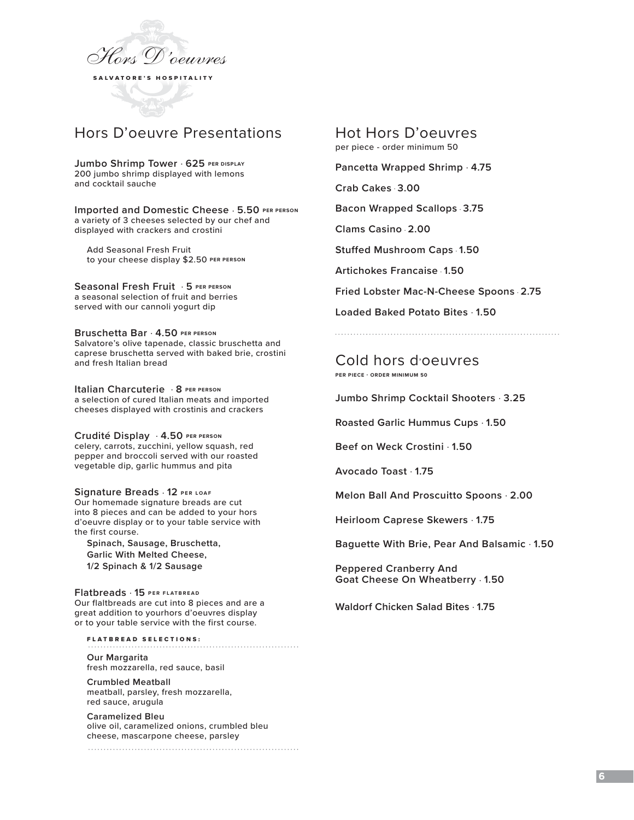

# Hors D'oeuvre Presentations

**Jumbo Shrimp Tower** . **625 PER DISPLAY**

200 jumbo shrimp displayed with lemons and cocktail sauche

**Imported and Domestic Cheese** . **5.50 PER PERSON** a variety of 3 cheeses selected by our chef and displayed with crackers and crostini

 Add Seasonal Fresh Fruit to your cheese display \$2.50 **PER PERSON**

**Seasonal Fresh Fruit** . **5 PER PERSON** a seasonal selection of fruit and berries served with our cannoli yogurt dip

**Bruschetta Bar** . **4.50 PER PERSON** Salvatore's olive tapenade, classic bruschetta and caprese bruschetta served with baked brie, crostini and fresh Italian bread

**Italian Charcuterie** . **8 PER PERSON** a selection of cured Italian meats and imported cheeses displayed with crostinis and crackers

**Crudité Display** . **4.50 PER PERSON** celery, carrots, zucchini, yellow squash, red pepper and broccoli served with our roasted vegetable dip, garlic hummus and pita

**Signature Breads** . **12 PER LOAF** Our homemade signature breads are cut into 8 pieces and can be added to your hors d'oeuvre display or to your table service with the first course.

**Spinach, Sausage, Bruschetta, Garlic With Melted Cheese, 1/2 Spinach & 1/2 Sausage**

**Flatbreads** . **15 PER FLATBREAD** Our flaltbreads are cut into 8 pieces and are a great addition to yourhors d'oeuvres display or to your table service with the first course.

FLATBREAD SELECTIONS:

**Our Margarita**  fresh mozzarella, red sauce, basil

**Crumbled Meatball**  meatball, parsley, fresh mozzarella, red sauce, arugula

**Caramelized Bleu** olive oil, caramelized onions, crumbled bleu cheese, mascarpone cheese, parsley

Hot Hors D'oeuvres per piece - order minimum 50

**Pancetta Wrapped Shrimp** . **4.75**

**Crab Cakes** . **3.00** 

**Bacon Wrapped Scallops** . **3.75**

**Clams Casino** . **2.00**

**Stuffed Mushroom Caps** . **1.50**

**Artichokes Francaise** . **1.50**

**Fried Lobster Mac-N-Cheese Spoons** . **2.75**

**Loaded Baked Potato Bites** . **1.50**

Cold hors d'oeuvres **PER PIECE - ORDER MINIMUM 50**

**Jumbo Shrimp Cocktail Shooters** . **3.25**

**Roasted Garlic Hummus Cups** . **1.50**

**Beef on Weck Crostini** . **1.50**

**Avocado Toast** . **1.75**

**Melon Ball And Proscuitto Spoons** . **2.00**

**Heirloom Caprese Skewers** . **1.75**

**Baguette With Brie, Pear And Balsamic** . **1.50**

**Peppered Cranberry And Goat Cheese On Wheatberry** . **1.50**

**Waldorf Chicken Salad Bites** . **1.75**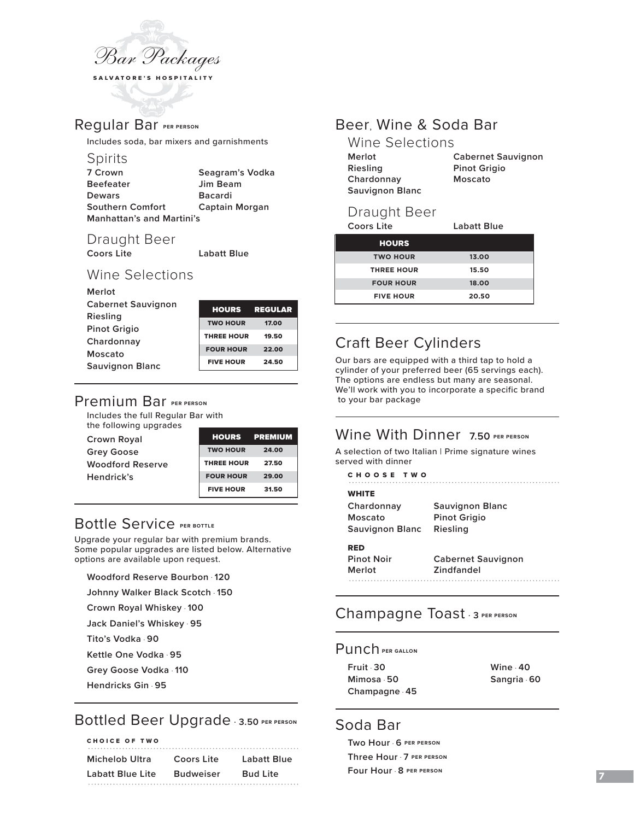

# Regular Bar **PER PERSON**

Includes soda, bar mixers and garnishments

### **Spirits**

| 7 Crown                          | Seagram's Vodka |
|----------------------------------|-----------------|
| <b>Beefeater</b>                 | Jim Beam        |
| <b>Dewars</b>                    | <b>Bacardi</b>  |
| <b>Southern Comfort</b>          | Captain Morgan  |
| <b>Manhattan's and Martini's</b> |                 |

# Draught Beer<br>Coors Lite

**Coors Lite Labatt Blue** 

# Wine Selections

| Merlot                    |                   |                |
|---------------------------|-------------------|----------------|
| <b>Cabernet Sauvignon</b> | <b>HOURS</b>      | <b>REGULAR</b> |
| Riesling                  |                   |                |
| <b>Pinot Grigio</b>       | <b>TWO HOUR</b>   | 17.00          |
|                           | <b>THREE HOUR</b> | 19.50          |
| Chardonnay                |                   |                |
| Moscato                   | <b>FOUR HOUR</b>  | 22.00          |
|                           | <b>FIVE HOUR</b>  | 24.50          |
| <b>Sauvignon Blanc</b>    |                   |                |

# Premium Bar **PER PERSON**

Includes the full Regular Bar with the following upgrades

| <b>Crown Royal</b>      |                   | <b>HOURS PREMIUM</b> |
|-------------------------|-------------------|----------------------|
| <b>Grey Goose</b>       | <b>TWO HOUR</b>   | 24.00                |
| <b>Woodford Reserve</b> | <b>THREE HOUR</b> | 27.50                |
| Hendrick's              | <b>FOUR HOUR</b>  | 29.00                |
|                         | <b>FIVE HOUR</b>  | 31.50                |

# **Bottle Service PER BOTTLE**

Upgrade your regular bar with premium brands. Some popular upgrades are listed below. Alternative options are available upon request.

**Woodford Reserve Bourbon** . **120**

**Johnny Walker Black Scotch** . **150**

**Crown Royal Whiskey** . **100**

**Jack Daniel's Whiskey** . **95**

**Tito's Vodka** . **90**

**Kettle One Vodka** . **95**

**Grey Goose Vodka** . **110**

**Hendricks Gin** . **95**

# Bottled Beer Upgrade . **3.50 PER PERSON**

### CHOICE OF TWO **Michelob Ultra Coors Lite Labatt Blue Labatt Blue Lite Budweiser Bud Lite**

# Beer, Wine & Soda Bar

| Wine Selections        |                           |
|------------------------|---------------------------|
| Merlot                 | <b>Cabernet Sauvignon</b> |
| Riesling               | <b>Pinot Grigio</b>       |
| Chardonnay             | Moscato                   |
| <b>Sauvignon Blanc</b> |                           |

### Draught Beer

| <b>Coors Lite</b> | Labatt Blue |
|-------------------|-------------|
| <b>HOURS</b>      |             |
| <b>TWO HOUR</b>   | 13.00       |
| <b>THREE HOUR</b> | 15.50       |
| <b>FOUR HOUR</b>  | 18.00       |
| <b>FIVE HOUR</b>  | 20.50       |

# Craft Beer Cylinders

Our bars are equipped with a third tap to hold a cylinder of your preferred beer (65 servings each). The options are endless but many are seasonal. We'll work with you to incorporate a specific brand to your bar package

# Wine With Dinner **7.50 PER PERSON**

A selection of two Italian | Prime signature wines served with dinner

|  |  |  | снооѕе тwо |  |  |  |  |  |  |  |
|--|--|--|------------|--|--|--|--|--|--|--|
|  |  |  |            |  |  |  |  |  |  |  |

| WHITE           |                           |
|-----------------|---------------------------|
| Chardonnay      | <b>Sauvignon Blanc</b>    |
| Moscato         | <b>Pinot Grigio</b>       |
| Sauvignon Blanc | Riesling                  |
| RED             |                           |
| Pinot Noir      | <b>Cabernet Sauvignon</b> |
| Merlot          | Zindfandel                |
|                 |                           |
|                 |                           |

# Champagne Toast . **<sup>3</sup> PER PERSON**

### Punch **PER GALLON**

**Fruit** . **30 Wine** . **40 Mimosa** . **50 Sangria** . **60 Champagne** . **45**

# Soda Bar

**Two Hour** . **6 PER PERSON Three Hour** . **7 PER PERSON Four Hour** . **8 PER PERSON**

**7**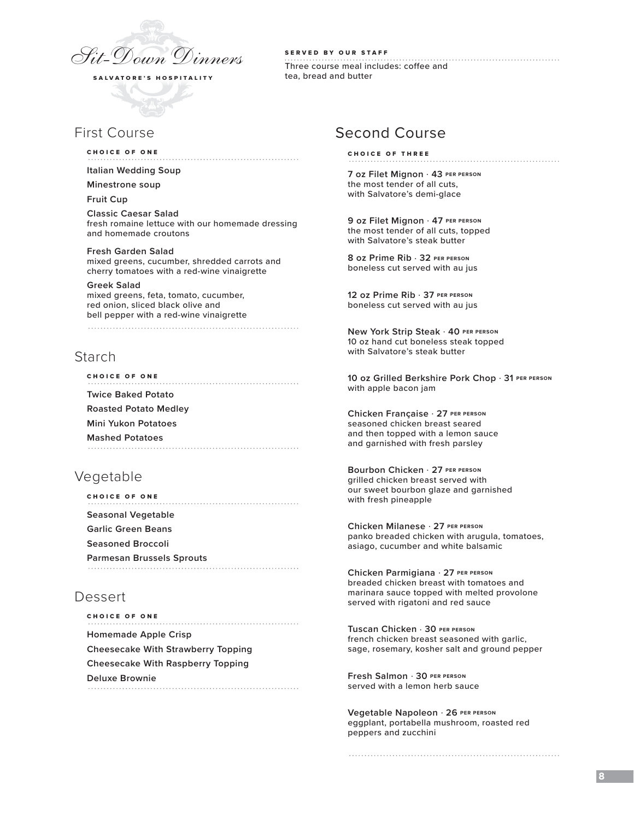

# First Course

#### CHOICE OF ONE

**Italian Wedding Soup** 

#### **Minestrone soup**

**Fruit Cup**

**Classic Caesar Salad** fresh romaine lettuce with our homemade dressing and homemade croutons

# **Fresh Garden Salad**

mixed greens, cucumber, shredded carrots and cherry tomatoes with a red-wine vinaigrette

**Greek Salad**  mixed greens, feta, tomato, cucumber, red onion, sliced black olive and bell pepper with a red-wine vinaigrette

### Starch

CHOICE OF ONE **Twice Baked Potato Roasted Potato Medley Mini Yukon Potatoes Mashed Potatoes**

# Vegetable

| <b>CHOICE OF ONE</b>             |
|----------------------------------|
| Seasonal Vegetable               |
| <b>Garlic Green Beans</b>        |
| <b>Seasoned Broccoli</b>         |
| <b>Parmesan Brussels Sprouts</b> |

# Dessert

CHOICE OF ONE **Homemade Apple Crisp Cheesecake With Strawberry Topping Cheesecake With Raspberry Topping Deluxe Brownie**

SERVED BY OUR STAFF Three course meal includes: coffee and tea, bread and butter

# Second Course

CHOICE OF THREE

**7 oz Filet Mignon** . **43 PER PERSON** the most tender of all cuts, with Salvatore's demi-glace

**9 oz Filet Mignon** . **47 PER PERSON** the most tender of all cuts, topped with Salvatore's steak butter

**8 oz Prime Rib** . **32 PER PERSON** boneless cut served with au jus

**12 oz Prime Rib** . **37 PER PERSON** boneless cut served with au jus

**New York Strip Steak** . **40 PER PERSON** 10 oz hand cut boneless steak topped with Salvatore's steak butter

**10 oz Grilled Berkshire Pork Chop** . **31 PER PERSON** with apple bacon jam

**Chicken Française** . **27 PER PERSON** seasoned chicken breast seared and then topped with a lemon sauce and garnished with fresh parsley

**Bourbon Chicken** . **27 PER PERSON** grilled chicken breast served with our sweet bourbon glaze and garnished with fresh pineapple

**Chicken Milanese** . **27 PER PERSON** panko breaded chicken with arugula, tomatoes, asiago, cucumber and white balsamic

**Chicken Parmigiana** . **27 PER PERSON** breaded chicken breast with tomatoes and marinara sauce topped with melted provolone served with rigatoni and red sauce

**Tuscan Chicken** . **30 PER PERSON** french chicken breast seasoned with garlic, sage, rosemary, kosher salt and ground pepper

**Fresh Salmon** . **30 PER PERSON** served with a lemon herb sauce

**Vegetable Napoleon** . **26 PER PERSON** eggplant, portabella mushroom, roasted red peppers and zucchini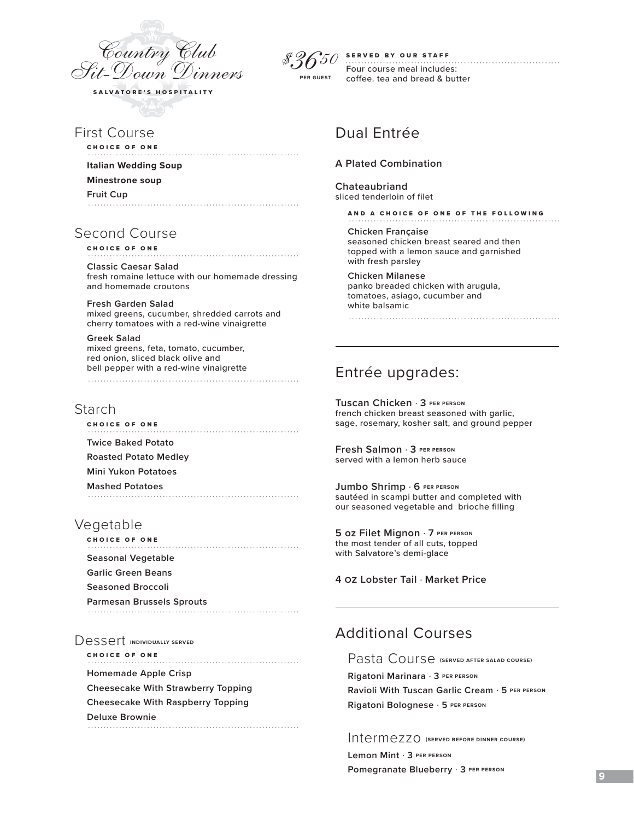

First Course

CHOICE OF ONE

**Italian Wedding Soup Minestrone soup**

**Fruit Cup**

# Second Course

CHOICE OF ONE

**Classic Caesar Salad** fresh romaine lettuce with our homemade dressing and homemade croutons

**Fresh Garden Salad**  mixed greens, cucumber, shredded carrots and cherry tomatoes with a red-wine vinaigrette

**Greek Salad**  mixed greens, feta, tomato, cucumber, red onion, sliced black olive and bell pepper with a red-wine vinaigrette 

### Starch

CHOICE OF ONE **Twice Baked Potato Roasted Potato Medley Mini Yukon Potatoes**

**Mashed Potatoes**

# Vegetable

CHOICE OF ONE **Seasonal Vegetable Garlic Green Beans Seasoned Broccoli Parmesan Brussels Sprouts**

Dessert **INDIVIDUALLY SERVED** 

CHOICE OF ONE **Homemade Apple Crisp Cheesecake With Strawberry Topping Cheesecake With Raspberry Topping Deluxe Brownie** 

SERVED BY OUR STAFF *\$3650*

Four course meal includes: coffee. tea and bread & butter **PER GUEST**

# Dual Entrée

### **A Plated Combination**

**Chateaubriand** sliced tenderloin of filet

AND A CHOICE OF ONE OF THE FOLLOWING

**Chicken Française** seasoned chicken breast seared and then topped with a lemon sauce and garnished with fresh parsley

**Chicken Milanese**  panko breaded chicken with arugula, tomatoes, asiago, cucumber and white balsamic

Entrée upgrades:

**Tuscan Chicken** . **3 PER PERSON** french chicken breast seasoned with garlic, sage, rosemary, kosher salt, and ground pepper

**Fresh Salmon** . **3 PER PERSON** served with a lemon herb sauce

**Jumbo Shrimp** . **6 PER PERSON** sautéed in scampi butter and completed with our seasoned vegetable and brioche filling

**5 oz Filet Mignon** . **7 PER PERSON** the most tender of all cuts, topped with Salvatore's demi-glace

**4 oz Lobster Tail** . **Market Price**

# Additional Courses

Pasta Course **(SERVED AFTER SALAD COURSE)**

**Rigatoni Marinara** . **3 PER PERSON Ravioli With Tuscan Garlic Cream** . **5 PER PERSON Rigatoni Bolognese** . **5 PER PERSON**

Intermezzo **(SERVED BEFORE DINNER COURSE) Lemon Mint** . **3 PER PERSON**

**Pomegranate Blueberry** . **3 PER PERSON**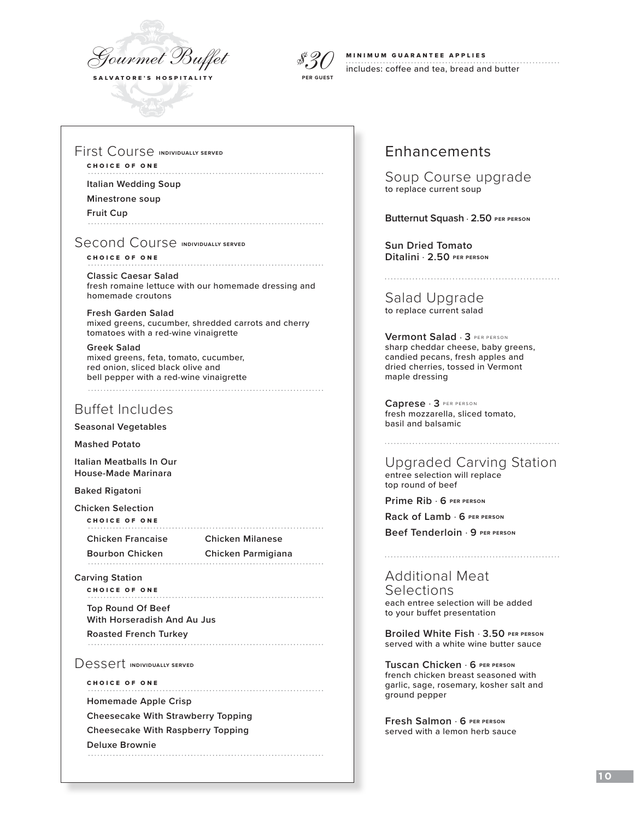



### MINIMUM GUARANTEE APPLIES includes: coffee and tea, bread and butter

First Course **INDIVIDUALLY SERVED**

### CHOICE OF ONE

**Italian Wedding Soup** 

**Minestrone soup**

**Fruit Cup** 

**Second Course INDIVIDUALLY SERVED** 

CHOICE OF ONE **Classic Caesar Salad** fresh romaine lettuce with our homemade dressing and homemade croutons

**Fresh Garden Salad**  mixed greens, cucumber, shredded carrots and cherry tomatoes with a red-wine vinaigrette

**Greek Salad**  mixed greens, feta, tomato, cucumber, red onion, sliced black olive and bell pepper with a red-wine vinaigrette 

### Buffet Includes

**Seasonal Vegetables**

**Mashed Potato**

**Italian Meatballs In Our House-Made Marinara**

**Baked Rigatoni**

**Chicken Selection** CHOICE OF ONE

**Chicken Francaise Chicken Milanese**

**Bourbon Chicken Chicken Parmigiana**

**Carving Station**

CHOICE OF ONE

**Top Round Of Beef With Horseradish And Au Jus**

**Roasted French Turkey**

Dessert **INDIVIDUALLY SERVED** 

CHOICE OF ONE

**Homemade Apple Crisp** 

**Cheesecake With Strawberry Topping**

**Cheesecake With Raspberry Topping**

**Deluxe Brownie**

# Enhancements

Soup Course upgrade to replace current soup

**Butternut Squash** . **2.50 PER PERSON** 

**Sun Dried Tomato Ditalini** . **2.50 PER PERSON**

Salad Upgrade to replace current salad

**Vermont Salad** . **3** PER PERSON sharp cheddar cheese, baby greens, candied pecans, fresh apples and dried cherries, tossed in Vermont maple dressing

**Caprese** . **3** PER PERSON fresh mozzarella, sliced tomato, basil and balsamic

Upgraded Carving Station

entree selection will replace top round of beef

**Prime Rib** . **6 PER PERSON**

**Rack of Lamb** . **6 PER PERSON**

**Beef Tenderloin** . **9 PER PERSON**

Additional Meat Selections each entree selection will be added to your buffet presentation

**Broiled White Fish** . **3.50 PER PERSON** served with a white wine butter sauce

**Tuscan Chicken** . **6 PER PERSON** french chicken breast seasoned with garlic, sage, rosemary, kosher salt and ground pepper

**Fresh Salmon** . **6 PER PERSON** served with a lemon herb sauce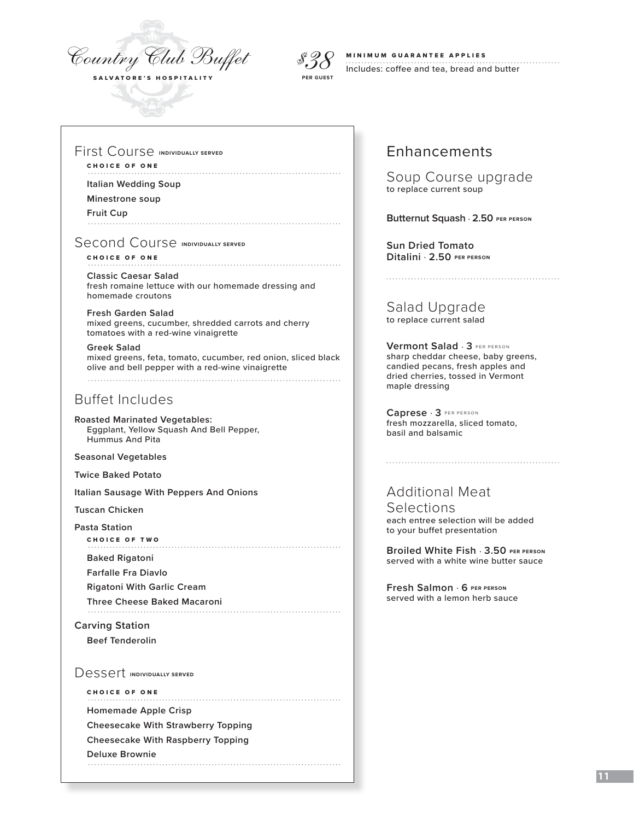



### MINIMUM GUARANTEE APPLIES Includes: coffee and tea, bread and butter

First Course **INDIVIDUALLY SERVED**

### CHOICE OF ONE

**Italian Wedding Soup** 

**Minestrone soup**

**Fruit Cup** 

Second Course **INDIVIDUALLY SERVED** 

CHOICE OF ONE **Classic Caesar Salad** fresh romaine lettuce with our homemade dressing and homemade croutons

**Fresh Garden Salad**  mixed greens, cucumber, shredded carrots and cherry tomatoes with a red-wine vinaigrette

**Greek Salad**  mixed greens, feta, tomato, cucumber, red onion, sliced black olive and bell pepper with a red-wine vinaigrette 

# Buffet Includes

**Roasted Marinated Vegetables:**  Eggplant, Yellow Squash And Bell Pepper, Hummus And Pita

**Seasonal Vegetables**

**Twice Baked Potato**

**Italian Sausage With Peppers And Onions**

**Tuscan Chicken**

**Pasta Station**

CHOICE OF TWO

**Baked Rigatoni** 

**Farfalle Fra Diavlo**

**Rigatoni With Garlic Cream**

**Three Cheese Baked Macaroni**

**Carving Station** 

**Beef Tenderolin**

Dessert **INDIVIDUALLY SERVED** 

CHOICE OF ONE

**Homemade Apple Crisp** 

**Cheesecake With Strawberry Topping**

**Cheesecake With Raspberry Topping**

**Deluxe Brownie** 

# Enhancements

Soup Course upgrade to replace current soup

**Butternut Squash** . **2.50 PER PERSON** 

**Sun Dried Tomato Ditalini** . **2.50 PER PERSON**

Salad Upgrade to replace current salad

**Vermont Salad** . **3** PER PERSON sharp cheddar cheese, baby greens, candied pecans, fresh apples and dried cherries, tossed in Vermont maple dressing

**Caprese** . **3** PER PERSON fresh mozzarella, sliced tomato, basil and balsamic

### Additional Meat Selections each entree selection will be added to your buffet presentation

**Broiled White Fish** . **3.50 PER PERSON** served with a white wine butter sauce

**Fresh Salmon** . **6 PER PERSON** served with a lemon herb sauce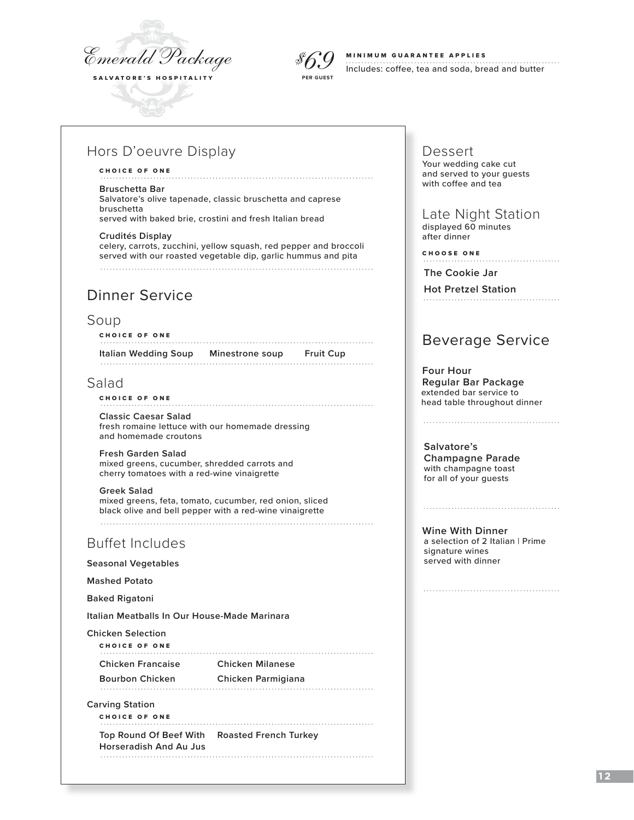



### MINIMUM GUARANTEE APPLIES

Includes: coffee, tea and soda, bread and butter

# Hors D'oeuvre Display

#### CHOICE OF ONE

#### **Bruschetta Bar**

Salvatore's olive tapenade, classic bruschetta and caprese bruschetta served with baked brie, crostini and fresh Italian bread

#### **Crudités Display**

celery, carrots, zucchini, yellow squash, red pepper and broccoli served with our roasted vegetable dip, garlic hummus and pita

# Dinner Service

### Soup

CHOICE OF ONE **Italian Wedding Soup Minestrone soup Fruit Cup**

### Salad

### CHOICE OF ONE

**Classic Caesar Salad** fresh romaine lettuce with our homemade dressing and homemade croutons

**Fresh Garden Salad**  mixed greens, cucumber, shredded carrots and cherry tomatoes with a red-wine vinaigrette

**Greek Salad**  mixed greens, feta, tomato, cucumber, red onion, sliced black olive and bell pepper with a red-wine vinaigrette

# Buffet Includes

**Seasonal Vegetables**

**Mashed Potato** 

**Baked Rigatoni**

**Italian Meatballs In Our House-Made Marinara**

**Chicken Selection**

CHOICE OF ONE 

**Chicken Francaise Chicken Milanese**

**Bourbon Chicken Chicken Parmigiana**

**Carving Station**

CHOICE OF ONE

**Top Round Of Beef With Roasted French Turkey Horseradish And Au Jus**

#### Dessert Your wedding cake cut and served to your guests with coffee and tea

 Late Night Station displayed 60 minutes after dinner

CHOOSE ONE

**The Cookie Jar**

**Hot Pretzel Station** 

# Beverage Service

 **Four Hour Regular Bar Package** extended bar service to head table throughout dinner

**Salvatore's Champagne Parade** with champagne toast for all of your guests

**Wine With Dinner**

a selection of 2 Italian | Prime signature wines served with dinner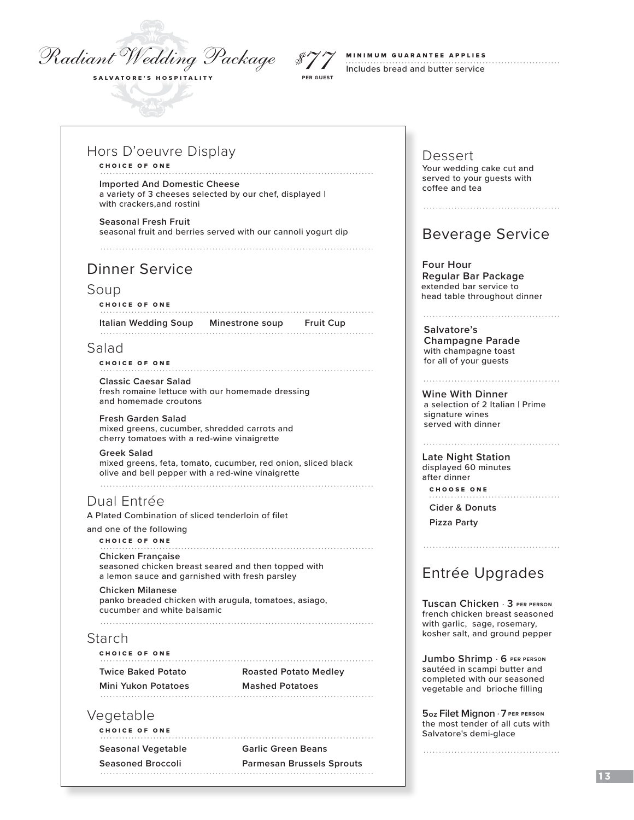# *Radiant Wedding Package*

SALVATORE'S HOSPITALITY



# MINIMUM GUARANTEE APPLIES

Includes bread and butter service

### Hors D'oeuvre Display

### CHOICE OF ONE

**Imported And Domestic Cheese** a variety of 3 cheeses selected by our chef, displayed | with crackers,and rostini

**Seasonal Fresh Fruit** seasonal fruit and berries served with our cannoli yogurt dip

# Dinner Service

### Soup

CHOICE OF ONE

**Italian Wedding Soup Minestrone soup Fruit Cup**

### Salad

CHOICE OF ONE

**Classic Caesar Salad** fresh romaine lettuce with our homemade dressing and homemade croutons

**Fresh Garden Salad**  mixed greens, cucumber, shredded carrots and cherry tomatoes with a red-wine vinaigrette

**Greek Salad**  mixed greens, feta, tomato, cucumber, red onion, sliced black olive and bell pepper with a red-wine vinaigrette

# Dual Entrée

A Plated Combination of sliced tenderloin of filet

and one of the following

#### CHOICE OF ONE

**Chicken Française** seasoned chicken breast seared and then topped with a lemon sauce and garnished with fresh parsley

**Chicken Milanese**  panko breaded chicken with arugula, tomatoes, asiago, cucumber and white balsamic 

### Starch

CHOICE OF ONE

**Twice Baked Potato Roasted Potato Medley**

**Mini Yukon Potatoes Mashed Potatoes**

# Vegetable

CHOICE OF ONE

**Seasonal Vegetable Garlic Green Beans**

**Seasoned Broccoli Parmesan Brussels Sprouts**

Dessert Your wedding cake cut and served to your guests with coffee and tea

# Beverage Service

 **Four Hour Regular Bar Package** extended bar service to head table throughout dinner

#### **Salvatore's Champagne Parade** with champagne toast for all of your guests

**Wine With Dinner** a selection of 2 Italian | Prime signature wines served with dinner

### **Late Night Station**

 displayed 60 minutes after dinner CHOOSE ONE

**Cider & Donuts Pizza Party**

# Entrée Upgrades

**Tuscan Chicken** . **3 PER PERSON** french chicken breast seasoned with garlic, sage, rosemary, kosher salt, and ground pepper

**Jumbo Shrimp** . **6 PER PERSON** sautéed in scampi butter and completed with our seasoned vegetable and brioche filling

**5 oz Filet Mignon** . **7 PER PERSON** the most tender of all cuts with Salvatore's demi-glace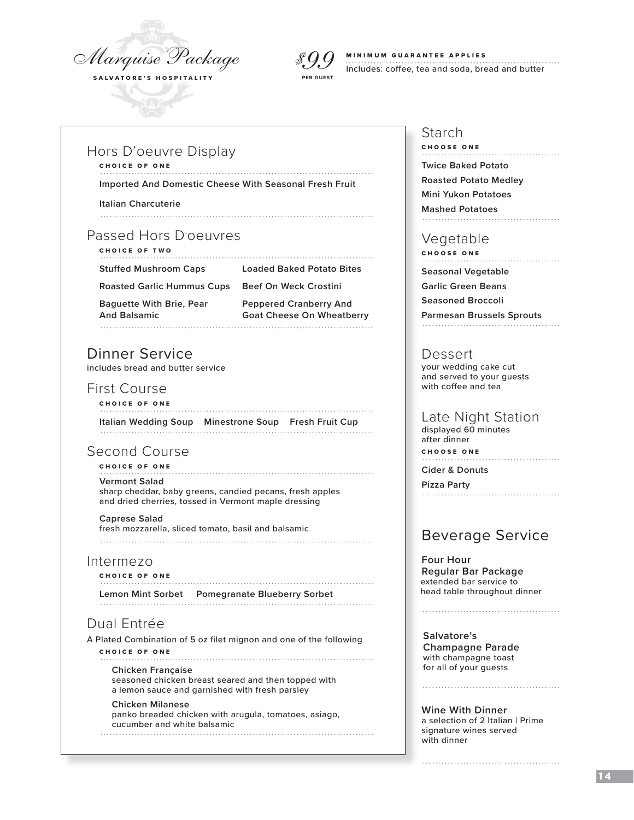

# *\$99*

#### MINIMUM GUARANTEE APPLIES

Includes: coffee, tea and soda, bread and butter **PER GUEST**

### Hors D'oeuvre Display

#### CHOICE OF ONE

**Imported And Domestic Cheese With Seasonal Fresh Fruit**

**Italian Charcuterie**

### Passed Hors D'oeuvres

CHOICE OF TWO

**Stuffed Mushroom Caps Loaded Baked Potato Bites**

**Roasted Garlic Hummus Cups Beef On Weck Crostini**

**Baguette With Brie, Pear Peppered Cranberry And**

**And Balsamic Goat Cheese On Wheatberry** 

# Dinner Service

includes bread and butter service

### First Course

CHOICE OF ONE **Italian Wedding Soup Minestrone Soup Fresh Fruit Cup**

# Second Course

CHOICE OF ONE

### **Vermont Salad**

sharp cheddar, baby greens, candied pecans, fresh apples and dried cherries, tossed in Vermont maple dressing

#### **Caprese Salad** fresh mozzarella, sliced tomato, basil and balsamic

### Intermezo

CHOICE OF ONE **Lemon Mint Sorbet Pomegranate Blueberry Sorbet**

Dual Entrée

A Plated Combination of 5 oz filet mignon and one of the following CHOICE OF ONE

#### 

**Chicken Française** seasoned chicken breast seared and then topped with a lemon sauce and garnished with fresh parsley

#### **Chicken Milanese**  panko breaded chicken with arugula, tomatoes, asiago, cucumber and white balsamic

### Starch

CHOOSE ONE **Twice Baked Potato Roasted Potato Medley Mini Yukon Potatoes Mashed Potatoes**

### Vegetable

CHOOSE ONE

**Seasonal Vegetable**

**Garlic Green Beans**

**Seasoned Broccoli**

**Parmesan Brussels Sprouts**

### Dessert

 your wedding cake cut and served to your guests with coffee and tea

### Late Night Station

 displayed 60 minutes after dinner CHOOSE ONE

**Cider & Donuts**

**Pizza Party**

# Beverage Service

 **Four Hour Regular Bar Package** extended bar service to head table throughout dinner

**Salvatore's Champagne Parade** with champagne toast for all of your guests

**Wine With Dinner** a selection of 2 Italian | Prime signature wines served with dinner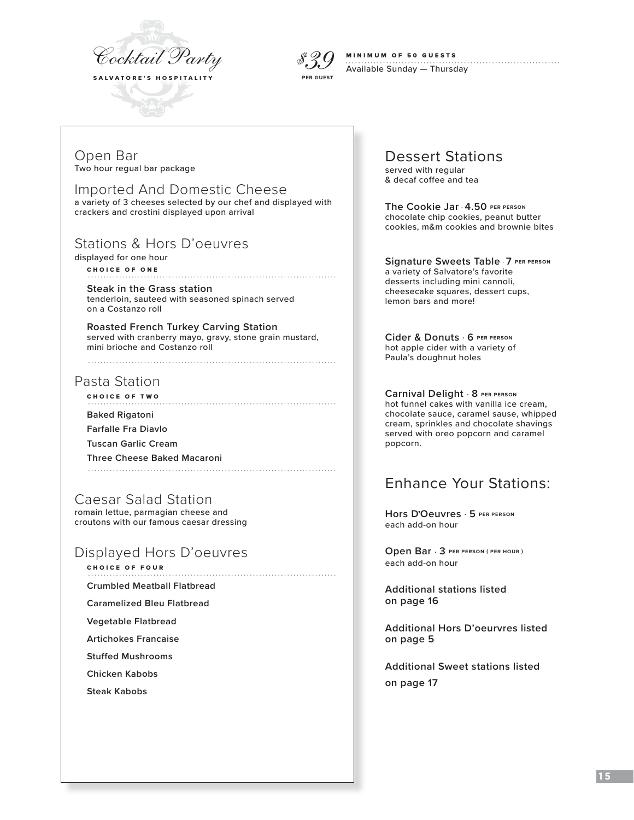

*\$39* **PER GUEST**

#### MINIMUM OF 50 GUESTS

Available Sunday — Thursday

Open Bar Two hour regual bar package

Imported And Domestic Cheese a variety of 3 cheeses selected by our chef and displayed with crackers and crostini displayed upon arrival

# Stations & Hors D'oeuvres

displayed for one hour

CHOICE OF ONE

**Steak in the Grass station** tenderloin, sauteed with seasoned spinach served on a Costanzo roll

**Roasted French Turkey Carving Station** served with cranberry mayo, gravy, stone grain mustard, mini brioche and Costanzo roll

# Pasta Station

CHOICE OF TWO

**Baked Rigatoni** 

**Farfalle Fra Diavlo**

**Tuscan Garlic Cream**

**Three Cheese Baked Macaroni**

Caesar Salad Station

romain lettue, parmagian cheese and croutons with our famous caesar dressing

# Displayed Hors D'oeuvres

- CHOICE OF FOUR
- **Crumbled Meatball Flatbread**

**Caramelized Bleu Flatbread**

**Vegetable Flatbread**

**Artichokes Francaise**

**Stuffed Mushrooms**

**Chicken Kabobs**

**Steak Kabobs**

# Dessert Stations

served with regular & decaf coffee and tea

**The Cookie Jar** . **4.50 PER PERSON** chocolate chip cookies, peanut butter cookies, m&m cookies and brownie bites

**Signature Sweets Table** . **7 PER PERSON** a variety of Salvatore's favorite desserts including mini cannoli, cheesecake squares, dessert cups, lemon bars and more!

**Cider & Donuts** . **6 PER PERSON** hot apple cider with a variety of Paula's doughnut holes

**Carnival Delight** . **8 PER PERSON** hot funnel cakes with vanilla ice cream, chocolate sauce, caramel sause, whipped cream, sprinkles and chocolate shavings served with oreo popcorn and caramel popcorn.

# Enhance Your Stations:

**Hors D, Oeuvres** . **5 PER PERSON** each add-on hour

**Open Bar** . **3 PER PERSON ( PER HOUR )** each add-on hour

**Additional stations listed on page 16**

**Additional Hors D'oeurvres listed on page 5**

**Additional Sweet stations listed on page 17**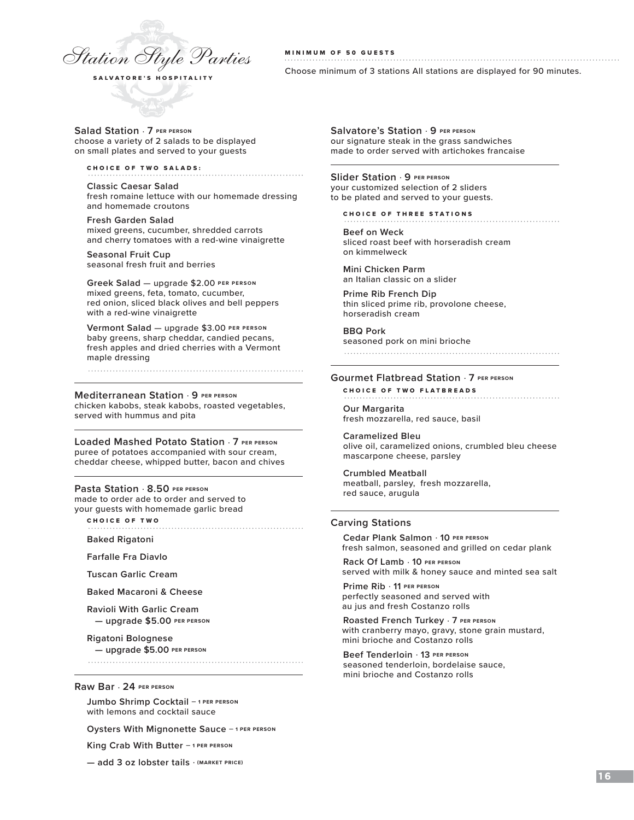

#### MINIMUM OF 50 GUESTS

Choose minimum of 3 stations All stations are displayed for 90 minutes.

**Salad Station** . **7 PER PERSON**  choose a variety of 2 salads to be displayed on small plates and served to your guests

CHOICE OF TWO SALADS:

**Classic Caesar Salad** fresh romaine lettuce with our homemade dressing and homemade croutons

**Fresh Garden Salad** mixed greens, cucumber, shredded carrots and cherry tomatoes with a red-wine vinaigrette

**Seasonal Fruit Cup**  seasonal fresh fruit and berries

**Greek Salad** — upgrade \$2.00 **PER PERSON** mixed greens, feta, tomato, cucumber, red onion, sliced black olives and bell peppers with a red-wine vinaigrette

**Vermont Salad** — upgrade \$3.00 **PER PERSON** baby greens, sharp cheddar, candied pecans, fresh apples and dried cherries with a Vermont maple dressing

#### **Mediterranean Station** . **9 PER PERSON**

chicken kabobs, steak kabobs, roasted vegetables, served with hummus and pita

**Loaded Mashed Potato Station** . **7 PER PERSON** puree of potatoes accompanied with sour cream, cheddar cheese, whipped butter, bacon and chives

#### **Pasta Station** . **8.50 PER PERSON** made to order ade to order and served to your guests with homemade garlic bread

CHOICE OF TWO

**Baked Rigatoni**

**Farfalle Fra Diavlo**

**Tuscan Garlic Cream**

**Baked Macaroni & Cheese**

**Ravioli With Garlic Cream — upgrade \$5.00 PER PERSON**

**Rigatoni Bolognese — upgrade \$5.00 PER PERSON**

**Raw Bar** . **24 PER PERSON**

**Jumbo Shrimp Cocktail — 1 PER PERSON**  with lemons and cocktail sauce

**Oysters With Mignonette Sauce — 1 PER PERSON** 

**King Crab With Butter — 1 PER PERSON** 

**— add 3 oz lobster tails** . **(MARKET PRICE)**

**Salvatore's Station** . **9 PER PERSON** our signature steak in the grass sandwiches made to order served with artichokes francaise

**Slider Station** . **9 PER PERSON** your customized selection of 2 sliders to be plated and served to your guests.

CHOICE OF THREE STATIONS

**Beef on Weck** sliced roast beef with horseradish cream on kimmelweck

**Mini Chicken Parm** an Italian classic on a slider

**Prime Rib French Dip** thin sliced prime rib, provolone cheese, horseradish cream

**BBQ Pork** seasoned pork on mini brioche

#### **Gourmet Flatbread Station** . **7 PER PERSON**

CHOICE OF TWO FLATBREADS

**Our Margarita** fresh mozzarella, red sauce, basil

**Caramelized Bleu** olive oil, caramelized onions, crumbled bleu cheese mascarpone cheese, parsley

**Crumbled Meatball** meatball, parsley, fresh mozzarella, red sauce, arugula

#### **Carving Stations**

**Cedar Plank Salmon** . **10 PER PERSON** fresh salmon, seasoned and grilled on cedar plank

**Rack Of Lamb** . **10 PER PERSON** served with milk & honey sauce and minted sea salt

**Prime Rib** . **11 PER PERSON** perfectly seasoned and served with au jus and fresh Costanzo rolls

**Roasted French Turkey** . **7 PER PERSON** with cranberry mayo, gravy, stone grain mustard, mini brioche and Costanzo rolls

**Beef Tenderloin** . **13 PER PERSON** seasoned tenderloin, bordelaise sauce, mini brioche and Costanzo rolls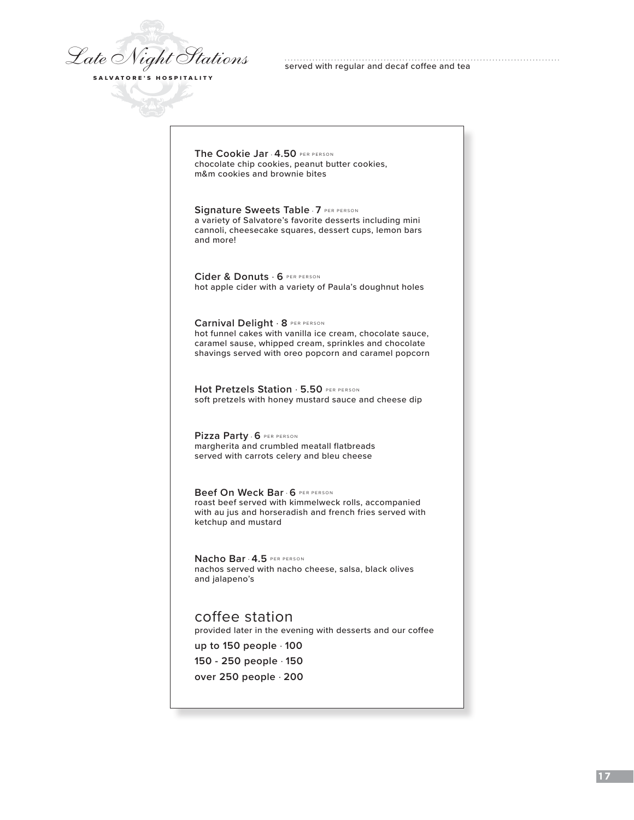*Late Night Stations* SALVATORE'S HOSPITALITY

served with regular and decaf coffee and tea

**The Cookie Jar** . **4.50** PER PERSON chocolate chip cookies, peanut butter cookies, m&m cookies and brownie bites

**Signature Sweets Table** . **7** PER PERSON a variety of Salvatore's favorite desserts including mini cannoli, cheesecake squares, dessert cups, lemon bars and more!

**Cider & Donuts** . **6** PER PERSON hot apple cider with a variety of Paula's doughnut holes

**Carnival Delight** . **8** PER PERSON hot funnel cakes with vanilla ice cream, chocolate sauce, caramel sause, whipped cream, sprinkles and chocolate shavings served with oreo popcorn and caramel popcorn

**Hot Pretzels Station** . **5.50** PER PERSON soft pretzels with honey mustard sauce and cheese dip

**Pizza Party** . **6** PER PERSON margherita and crumbled meatall flatbreads served with carrots celery and bleu cheese

**Beef On Weck Bar** . **6** PER PERSON roast beef served with kimmelweck rolls, accompanied with au jus and horseradish and french fries served with ketchup and mustard

**Nacho Bar** . **4.5** PER PERSON nachos served with nacho cheese, salsa, black olives and jalapeno's

coffee station provided later in the evening with desserts and our coffee **up to 150 people** . **100**

**150 - 250 people** . **150**

**over 250 people** . **200**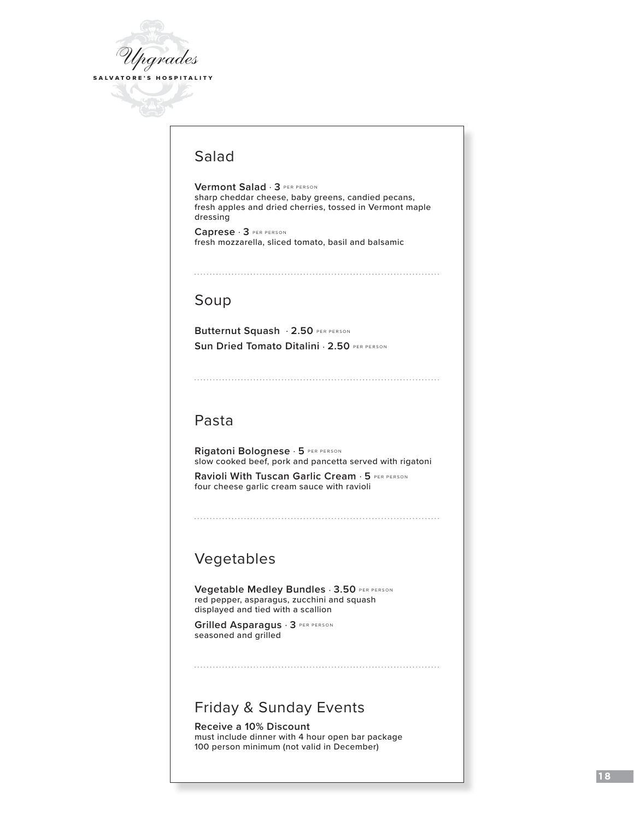

# Salad

**Vermont Salad** . **3** PER PERSON sharp cheddar cheese, baby greens, candied pecans, fresh apples and dried cherries, tossed in Vermont maple dressing

**Caprese** . **3** PER PERSON fresh mozzarella, sliced tomato, basil and balsamic

# Soup

**Butternut Squash** . **2.50** PER PERSON **Sun Dried Tomato Ditalini** . **2.50** PER PERSON

# Pasta

**Rigatoni Bolognese** . **5** PER PERSON slow cooked beef, pork and pancetta served with rigatoni

**Ravioli With Tuscan Garlic Cream**  $\cdot$  **5 PER PERSON** four cheese garlic cream sauce with ravioli

# Vegetables

**Vegetable Medley Bundles** . **3.50** PER PERSON red pepper, asparagus, zucchini and squash displayed and tied with a scallion

**Grilled Asparagus** . **3** PER PERSON seasoned and grilled

# Friday & Sunday Events

**Receive a 10% Discount** must include dinner with 4 hour open bar package 100 person minimum (not valid in December)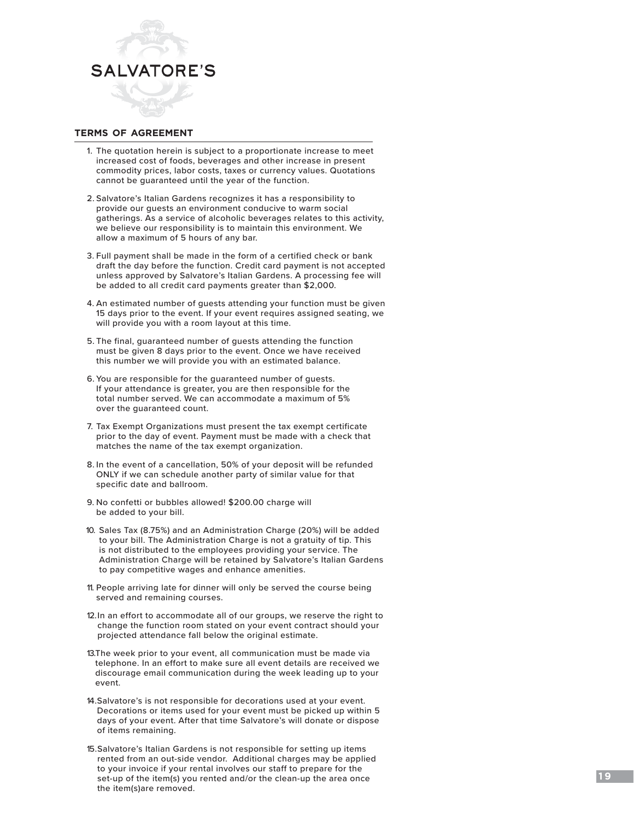

### **terms of agreement**

- 1. The quotation herein is subject to a proportionate increase to meet increased cost of foods, beverages and other increase in present commodity prices, labor costs, taxes or currency values. Quotations cannot be guaranteed until the year of the function.
- 2. Salvatore's Italian Gardens recognizes it has a responsibility to provide our guests an environment conducive to warm social gatherings. As a service of alcoholic beverages relates to this activity, we believe our responsibility is to maintain this environment. We allow a maximum of 5 hours of any bar.
- 3. Full payment shall be made in the form of a certified check or bank draft the day before the function. Credit card payment is not accepted unless approved by Salvatore's Italian Gardens. A processing fee will be added to all credit card payments greater than \$2,000.
- 4. An estimated number of guests attending your function must be given 15 days prior to the event. If your event requires assigned seating, we will provide you with a room layout at this time.
- 5. The final, guaranteed number of guests attending the function must be given 8 days prior to the event. Once we have received this number we will provide you with an estimated balance.
- 6. You are responsible for the guaranteed number of guests. If your attendance is greater, you are then responsible for the total number served. We can accommodate a maximum of 5% over the guaranteed count.
- 7. Tax Exempt Organizations must present the tax exempt certificate prior to the day of event. Payment must be made with a check that matches the name of the tax exempt organization.
- 8. In the event of a cancellation, 50% of your deposit will be refunded ONLY if we can schedule another party of similar value for that specific date and ballroom.
- 9. No confetti or bubbles allowed! \$200.00 charge will be added to your bill.
- 10. Sales Tax (8.75%) and an Administration Charge (20%) will be added to your bill. The Administration Charge is not a gratuity of tip. This is not distributed to the employees providing your service. The Administration Charge will be retained by Salvatore's Italian Gardens to pay competitive wages and enhance amenities.
- 11. People arriving late for dinner will only be served the course being served and remaining courses.
- 12.In an effort to accommodate all of our groups, we reserve the right to change the function room stated on your event contract should your projected attendance fall below the original estimate.
- 13.The week prior to your event, all communication must be made via telephone. In an effort to make sure all event details are received we discourage email communication during the week leading up to your event.
- 14.Salvatore's is not responsible for decorations used at your event. Decorations or items used for your event must be picked up within 5 days of your event. After that time Salvatore's will donate or dispose of items remaining.
- 15.Salvatore's Italian Gardens is not responsible for setting up items rented from an out-side vendor. Additional charges may be applied to your invoice if your rental involves our staff to prepare for the set-up of the item(s) you rented and/or the clean-up the area once the item(s)are removed.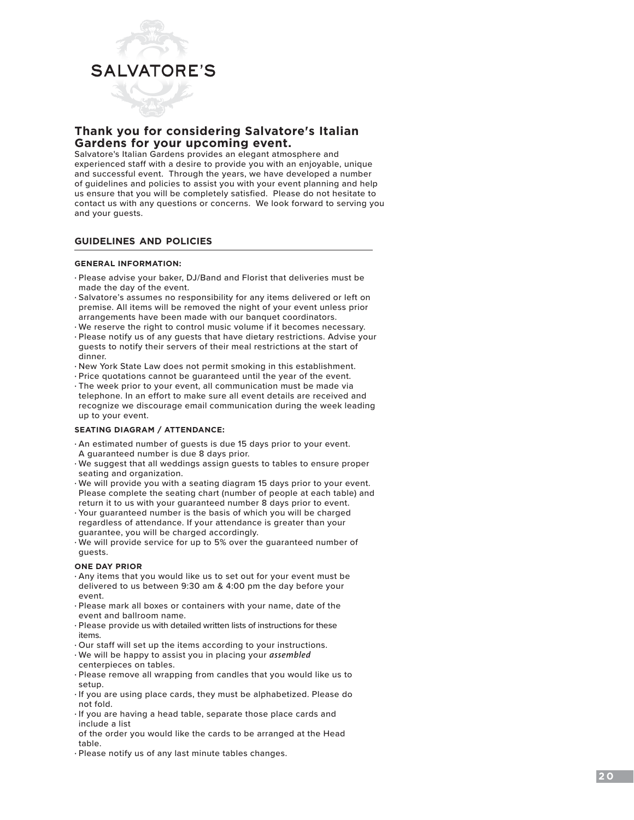

### **Thank you for considering Salvatore's Italian Gardens for your upcoming event.**

Salvatore's Italian Gardens provides an elegant atmosphere and experienced staff with a desire to provide you with an enjoyable, unique and successful event. Through the years, we have developed a number of guidelines and policies to assist you with your event planning and help us ensure that you will be completely satisfied. Please do not hesitate to contact us with any questions or concerns. We look forward to serving you and your guests.

#### **guidelines and policies**

#### **GENERAL INFORMATION:**

- Please advise your baker, DJ/Band and Florist that deliveries must be made the day of the event.
- Salvatore's assumes no responsibility for any items delivered or left on premise. All items will be removed the night of your event unless prior arrangements have been made with our banquet coordinators.
- We reserve the right to control music volume if it becomes necessary.
- Please notify us of any guests that have dietary restrictions. Advise your guests to notify their servers of their meal restrictions at the start of dinner.
- New York State Law does not permit smoking in this establishment.
- Price quotations cannot be guaranteed until the year of the event.
- The week prior to your event, all communication must be made via telephone. In an effort to make sure all event details are received and recognize we discourage email communication during the week leading up to your event.

#### **SEATING DIAGRAM / ATTENDANCE:**

- An estimated number of guests is due 15 days prior to your event. A guaranteed number is due 8 days prior.
- We suggest that all weddings assign guests to tables to ensure proper seating and organization.
- We will provide you with a seating diagram 15 days prior to your event. Please complete the seating chart (number of people at each table) and return it to us with your guaranteed number 8 days prior to event.
- Your guaranteed number is the basis of which you will be charged regardless of attendance. If your attendance is greater than your guarantee, you will be charged accordingly.
- We will provide service for up to 5% over the guaranteed number of guests.

#### **ONE DAY PRIOR**

- Any items that you would like us to set out for your event must be delivered to us between 9:30 am & 4:00 pm the day before your event.
- Please mark all boxes or containers with your name, date of the event and ballroom name.
- Please provide us with detailed written lists of instructions for these items.
- Our staff will set up the items according to your instructions.
- We will be happy to assist you in placing your *assembled* centerpieces on tables.
- Please remove all wrapping from candles that you would like us to setup.
- If you are using place cards, they must be alphabetized. Please do not fold.
- If you are having a head table, separate those place cards and include a list
- of the order you would like the cards to be arranged at the Head table.
- Please notify us of any last minute tables changes.